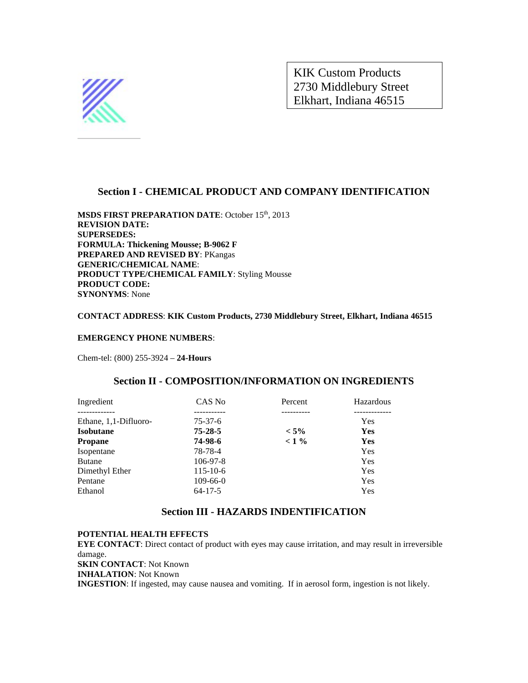

KIK Custom Products 2730 Middlebury Street Elkhart, Indiana 46515

# **Section I - CHEMICAL PRODUCT AND COMPANY IDENTIFICATION**

**MSDS FIRST PREPARATION DATE: October 15th, 2013 REVISION DATE: SUPERSEDES: FORMULA: Thickening Mousse; B-9062 F PREPARED AND REVISED BY**: PKangas **GENERIC/CHEMICAL NAME**: **PRODUCT TYPE/CHEMICAL FAMILY**: Styling Mousse **PRODUCT CODE: SYNONYMS**: None

#### **CONTACT ADDRESS**: **KIK Custom Products, 2730 Middlebury Street, Elkhart, Indiana 46515**

#### **EMERGENCY PHONE NUMBERS**:

Chem-tel: (800) 255-3924 – **24-Hours**

#### **Section II - COMPOSITION/INFORMATION ON INGREDIENTS**

| Ingredient            | CAS No         | Percent | Hazardous  |
|-----------------------|----------------|---------|------------|
|                       |                |         | ---------- |
| Ethane, 1,1-Difluoro- | $75-37-6$      |         | <b>Yes</b> |
| <b>Isobutane</b>      | $75 - 28 - 5$  | $< 5\%$ | <b>Yes</b> |
| <b>Propane</b>        | 74-98-6        | $< 1\%$ | <b>Yes</b> |
| Isopentane            | 78-78-4        |         | <b>Yes</b> |
| <b>Butane</b>         | $106 - 97 - 8$ |         | Yes        |
| Dimethyl Ether        | $115 - 10 - 6$ |         | <b>Yes</b> |
| Pentane               | $109-66-0$     |         | <b>Yes</b> |
| Ethanol               | $64 - 17 - 5$  |         | Yes        |

#### **Section III - HAZARDS INDENTIFICATION**

#### **POTENTIAL HEALTH EFFECTS**

**EYE CONTACT**: Direct contact of product with eyes may cause irritation, and may result in irreversible damage. **SKIN CONTACT**: Not Known **INHALATION**: Not Known **INGESTION**: If ingested, may cause nausea and vomiting. If in aerosol form, ingestion is not likely.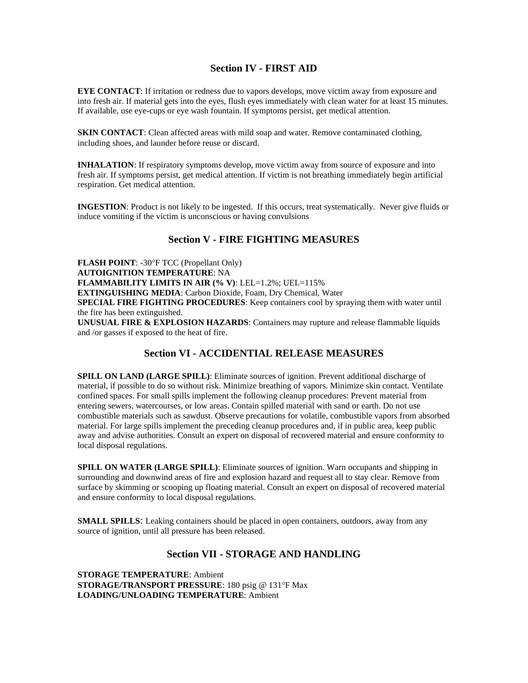# **Section IV - FIRST AID**

**EYE CONTACT**: If irritation or redness due to vapors develops, move victim away from exposure and into fresh air. If material gets into the eyes, flush eyes immediately with clean water for at least 15 minutes. If available, use eye-cups or eye wash fountain. If symptoms persist, get medical attention.

**SKIN CONTACT**: Clean affected areas with mild soap and water. Remove contaminated clothing, including shoes, and launder before reuse or discard.

**INHALATION**: If respiratory symptoms develop, move victim away from source of exposure and into fresh air. If symptoms persist, get medical attention. If victim is not breathing immediately begin artificial respiration. Get medical attention.

**INGESTION**: Product is not likely to be ingested. If this occurs, treat systematically. Never give fluids or induce vomiting if the victim is unconscious or having convulsions

#### **Section V - FIRE FIGHTING MEASURES**

**FLASH POINT**: -30°F TCC (Propellant Only) **AUTOIGNITION TEMPERATURE**: NA **FLAMMABILITY LIMITS IN AIR (% V)**: LEL=1.2%; UEL=115% **EXTINGUISHING MEDIA**: Carbon Dioxide, Foam, Dry Chemical, Water **SPECIAL FIRE FIGHTING PROCEDURES**: Keep containers cool by spraying them with water until the fire has been extinguished. **UNUSUAL FIRE & EXPLOSION HAZARDS**: Containers may rupture and release flammable liquids and /or gasses if exposed to the heat of fire.

#### **Section VI - ACCIDENTIAL RELEASE MEASURES**

**SPILL ON LAND (LARGE SPILL):** Eliminate sources of ignition. Prevent additional discharge of material, if possible to do so without risk. Minimize breathing of vapors. Minimize skin contact. Ventilate confined spaces. For small spills implement the following cleanup procedures: Prevent material from entering sewers, watercourses, or low areas. Contain spilled material with sand or earth. Do not use combustible materials such as sawdust. Observe precautions for volatile, combustible vapors from absorbed material. For large spills implement the preceding cleanup procedures and, if in public area, keep public away and advise authorities. Consult an expert on disposal of recovered material and ensure conformity to local disposal regulations.

**SPILL ON WATER (LARGE SPILL)**: Eliminate sources of ignition. Warn occupants and shipping in surrounding and downwind areas of fire and explosion hazard and request all to stay clear. Remove from surface by skimming or scooping up floating material. Consult an expert on disposal of recovered material and ensure conformity to local disposal regulations.

**SMALL SPILLS:** Leaking containers should be placed in open containers, outdoors, away from any source of ignition, until all pressure has been released.

#### **Section VII - STORAGE AND HANDLING**

**STORAGE TEMPERATURE**: Ambient **STORAGE/TRANSPORT PRESSURE**: 180 psig @ 131°F Max **LOADING/UNLOADING TEMPERATURE**: Ambient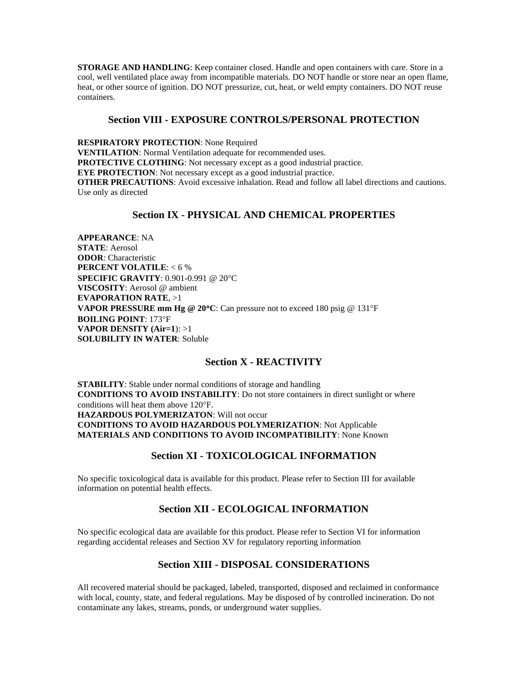**STORAGE AND HANDLING**: Keep container closed. Handle and open containers with care. Store in a cool, well ventilated place away from incompatible materials. DO NOT handle or store near an open flame, heat, or other source of ignition. DO NOT pressurize, cut, heat, or weld empty containers. DO NOT reuse containers.

#### **Section VIII - EXPOSURE CONTROLS/PERSONAL PROTECTION**

**RESPIRATORY PROTECTION**: None Required **VENTILATION**: Normal Ventilation adequate for recommended uses. **PROTECTIVE CLOTHING**: Not necessary except as a good industrial practice. **EYE PROTECTION:** Not necessary except as a good industrial practice. **OTHER PRECAUTIONS:** Avoid excessive inhalation. Read and follow all label directions and cautions. Use only as directed

# **Section IX - PHYSICAL AND CHEMICAL PROPERTIES**

**APPEARANCE**: NA **STATE**: Aerosol **ODOR**: Characteristic **PERCENT VOLATILE**: < 6 % **SPECIFIC GRAVITY**: 0.901-0.991 @ 20°C **VISCOSITY**: Aerosol @ ambient **EVAPORATION RATE**, >1 **VAPOR PRESSURE mm Hg @ 20**°**C**: Can pressure not to exceed 180 psig @ 131°F **BOILING POINT**: 173°F **VAPOR DENSITY (Air=1**): >1 **SOLUBILITY IN WATER**: Soluble

## **Section X - REACTIVITY**

**STABILITY**: Stable under normal conditions of storage and handling **CONDITIONS TO AVOID INSTABILITY**: Do not store containers in direct sunlight or where conditions will heat them above 120°F. **HAZARDOUS POLYMERIZATON**: Will not occur **CONDITIONS TO AVOID HAZARDOUS POLYMERIZATION**: Not Applicable **MATERIALS AND CONDITIONS TO AVOID INCOMPATIBILITY**: None Known

# **Section XI - TOXICOLOGICAL INFORMATION**

No specific toxicological data is available for this product. Please refer to Section III for available information on potential health effects.

# **Section XII - ECOLOGICAL INFORMATION**

No specific ecological data are available for this product. Please refer to Section VI for information regarding accidental releases and Section XV for regulatory reporting information

# **Section XIII - DISPOSAL CONSIDERATIONS**

All recovered material should be packaged, labeled, transported, disposed and reclaimed in conformance with local, county, state, and federal regulations. May be disposed of by controlled incineration. Do not contaminate any lakes, streams, ponds, or underground water supplies.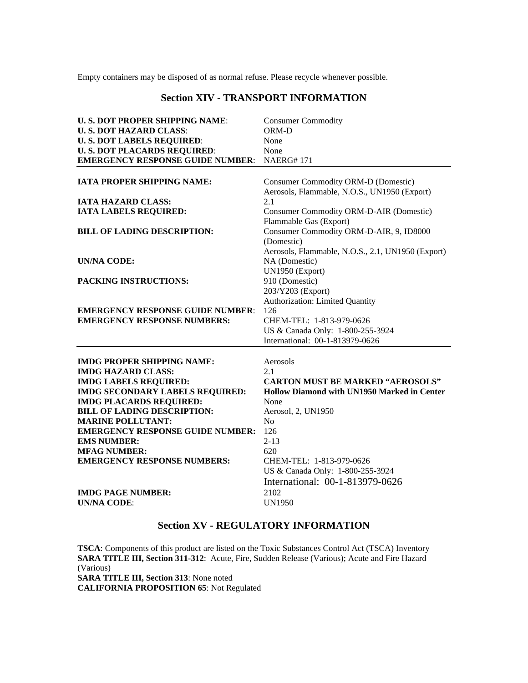Empty containers may be disposed of as normal refuse. Please recycle whenever possible.

## **Section XIV - TRANSPORT INFORMATION**

| <b>U.S. DOT PROPER SHIPPING NAME:</b>   | <b>Consumer Commodity</b>                          |  |  |
|-----------------------------------------|----------------------------------------------------|--|--|
| <b>U.S. DOT HAZARD CLASS:</b>           | ORM-D                                              |  |  |
| <b>U.S. DOT LABELS REQUIRED:</b>        | None                                               |  |  |
| <b>U.S. DOT PLACARDS REQUIRED:</b>      | None                                               |  |  |
| <b>EMERGENCY RESPONSE GUIDE NUMBER:</b> | <b>NAERG#171</b>                                   |  |  |
|                                         |                                                    |  |  |
| <b>IATA PROPER SHIPPING NAME:</b>       | Consumer Commodity ORM-D (Domestic)                |  |  |
|                                         | Aerosols, Flammable, N.O.S., UN1950 (Export)       |  |  |
| <b>IATA HAZARD CLASS:</b>               | 2.1                                                |  |  |
| <b>IATA LABELS REQUIRED:</b>            | <b>Consumer Commodity ORM-D-AIR (Domestic)</b>     |  |  |
|                                         | Flammable Gas (Export)                             |  |  |
| <b>BILL OF LADING DESCRIPTION:</b>      | Consumer Commodity ORM-D-AIR, 9, ID8000            |  |  |
|                                         | (Domestic)                                         |  |  |
|                                         | Aerosols, Flammable, N.O.S., 2.1, UN1950 (Export)  |  |  |
| <b>UN/NA CODE:</b>                      | NA (Domestic)                                      |  |  |
|                                         | UN1950 (Export)                                    |  |  |
| PACKING INSTRUCTIONS:                   | 910 (Domestic)                                     |  |  |
|                                         | 203/Y203 (Export)                                  |  |  |
|                                         | Authorization: Limited Quantity                    |  |  |
| <b>EMERGENCY RESPONSE GUIDE NUMBER:</b> | 126                                                |  |  |
| <b>EMERGENCY RESPONSE NUMBERS:</b>      | CHEM-TEL: 1-813-979-0626                           |  |  |
|                                         | US & Canada Only: 1-800-255-3924                   |  |  |
|                                         | International: 00-1-813979-0626                    |  |  |
|                                         |                                                    |  |  |
| <b>IMDG PROPER SHIPPING NAME:</b>       | Aerosols                                           |  |  |
| <b>IMDG HAZARD CLASS:</b>               | 2.1                                                |  |  |
| <b>IMDG LABELS REQUIRED:</b>            | <b>CARTON MUST BE MARKED "AEROSOLS"</b>            |  |  |
| <b>IMDG SECONDARY LABELS REQUIRED:</b>  | <b>Hollow Diamond with UN1950 Marked in Center</b> |  |  |
| <b>IMDG PLACARDS REQUIRED:</b>          | None                                               |  |  |
| <b>BILL OF LADING DESCRIPTION:</b>      | Aerosol, 2, UN1950                                 |  |  |
| <b>MARINE POLLUTANT:</b>                | N <sub>o</sub>                                     |  |  |
| <b>EMERGENCY RESPONSE GUIDE NUMBER:</b> | 126                                                |  |  |
| <b>EMS NUMBER:</b>                      | $2 - 13$                                           |  |  |
| <b>MFAG NUMBER:</b>                     | 620                                                |  |  |
| <b>EMERGENCY RESPONSE NUMBERS:</b>      | CHEM-TEL: 1-813-979-0626                           |  |  |
|                                         | US & Canada Only: 1-800-255-3924                   |  |  |
|                                         | International: 00-1-813979-0626                    |  |  |
| <b>IMDG PAGE NUMBER:</b>                | 2102                                               |  |  |
| <b>UN/NA CODE:</b>                      | <b>UN1950</b>                                      |  |  |
|                                         |                                                    |  |  |

# **Section XV - REGULATORY INFORMATION**

**TSCA**: Components of this product are listed on the Toxic Substances Control Act (TSCA) Inventory **SARA TITLE III, Section 311-312**: Acute, Fire, Sudden Release (Various); Acute and Fire Hazard (Various) **SARA TITLE III, Section 313**: None noted **CALIFORNIA PROPOSITION 65**: Not Regulated